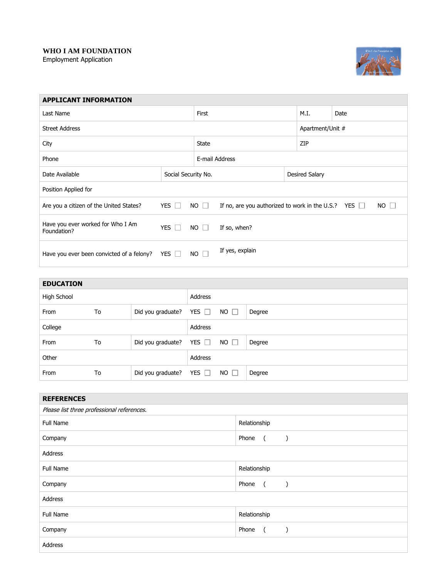## **WHO I AM FOUNDATION** Employment Application



| <b>APPLICANT INFORMATION</b>                     |                            |             |                                                           |                  |             |  |
|--------------------------------------------------|----------------------------|-------------|-----------------------------------------------------------|------------------|-------------|--|
| Last Name                                        |                            |             |                                                           | M.I.             | Date        |  |
| <b>Street Address</b>                            |                            |             |                                                           | Apartment/Unit # |             |  |
| City                                             |                            |             |                                                           | ZIP              |             |  |
| Phone                                            |                            |             | E-mail Address                                            |                  |             |  |
| Date Available                                   | Social Security No.        |             |                                                           | Desired Salary   |             |  |
| Position Applied for                             |                            |             |                                                           |                  |             |  |
| Are you a citizen of the United States?          | YES $\Box$                 | $NO$ $\Box$ | If no, are you authorized to work in the U.S.? YES $\Box$ |                  | $NO$ $\Box$ |  |
| Have you ever worked for Who I Am<br>Foundation? | <b>YES</b><br>$\mathbf{1}$ | $NO$ $\Box$ | If so, when?                                              |                  |             |  |
| Have you ever been convicted of a felony?        | YES $\Box$                 | $NO$ $\Box$ | If yes, explain                                           |                  |             |  |

| <b>EDUCATION</b> |    |                              |            |             |        |
|------------------|----|------------------------------|------------|-------------|--------|
| High School      |    |                              | Address    |             |        |
| From             | To | Did you graduate? YES $\Box$ |            | $NO$ $\Box$ | Degree |
| College          |    |                              | Address    |             |        |
| From             | To | Did you graduate?            | YES $\Box$ | $NO$ $\Box$ | Degree |
| Other            |    |                              | Address    |             |        |
| From             | To | Did you graduate? YES $\Box$ |            | $NO$ $\Box$ | Degree |

| <b>REFERENCES</b>                          |                                          |  |  |  |
|--------------------------------------------|------------------------------------------|--|--|--|
| Please list three professional references. |                                          |  |  |  |
| Full Name                                  | Relationship                             |  |  |  |
| Company                                    | Phone<br>$\overline{a}$<br>$\mathcal{E}$ |  |  |  |
| Address                                    |                                          |  |  |  |
| Full Name                                  | Relationship                             |  |  |  |
| Company                                    | Phone<br>$\overline{a}$<br>$\rightarrow$ |  |  |  |
| Address                                    |                                          |  |  |  |
| Full Name                                  | Relationship                             |  |  |  |
| Company                                    | Phone<br>$\overline{a}$                  |  |  |  |
| Address                                    |                                          |  |  |  |